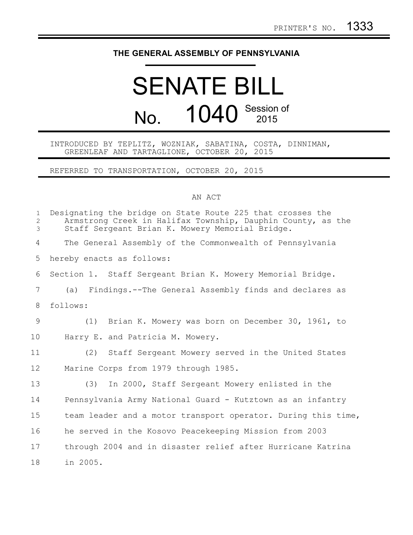## **THE GENERAL ASSEMBLY OF PENNSYLVANIA**

## SENATE BILL No. 1040 Session of

## INTRODUCED BY TEPLITZ, WOZNIAK, SABATINA, COSTA, DINNIMAN, GREENLEAF AND TARTAGLIONE, OCTOBER 20, 2015

REFERRED TO TRANSPORTATION, OCTOBER 20, 2015

## AN ACT

| $\mathbf{1}$<br>$\overline{2}$<br>$\mathfrak{Z}$ | Designating the bridge on State Route 225 that crosses the<br>Armstrong Creek in Halifax Township, Dauphin County, as the<br>Staff Sergeant Brian K. Mowery Memorial Bridge. |
|--------------------------------------------------|------------------------------------------------------------------------------------------------------------------------------------------------------------------------------|
| 4                                                | The General Assembly of the Commonwealth of Pennsylvania                                                                                                                     |
| 5                                                | hereby enacts as follows:                                                                                                                                                    |
| 6                                                | Section 1. Staff Sergeant Brian K. Mowery Memorial Bridge.                                                                                                                   |
| $7\phantom{.0}$                                  | (a) Findings.--The General Assembly finds and declares as                                                                                                                    |
| 8                                                | follows:                                                                                                                                                                     |
| 9                                                | (1) Brian K. Mowery was born on December 30, 1961, to                                                                                                                        |
| 10                                               | Harry E. and Patricia M. Mowery.                                                                                                                                             |
| 11                                               | Staff Sergeant Mowery served in the United States<br>(2)                                                                                                                     |
| 12                                               | Marine Corps from 1979 through 1985.                                                                                                                                         |
| 13                                               | In 2000, Staff Sergeant Mowery enlisted in the<br>(3)                                                                                                                        |
| 14                                               | Pennsylvania Army National Guard - Kutztown as an infantry                                                                                                                   |
| 15                                               | team leader and a motor transport operator. During this time,                                                                                                                |
| 16                                               | he served in the Kosovo Peacekeeping Mission from 2003                                                                                                                       |
| 17                                               | through 2004 and in disaster relief after Hurricane Katrina                                                                                                                  |
| 18                                               | in 2005.                                                                                                                                                                     |